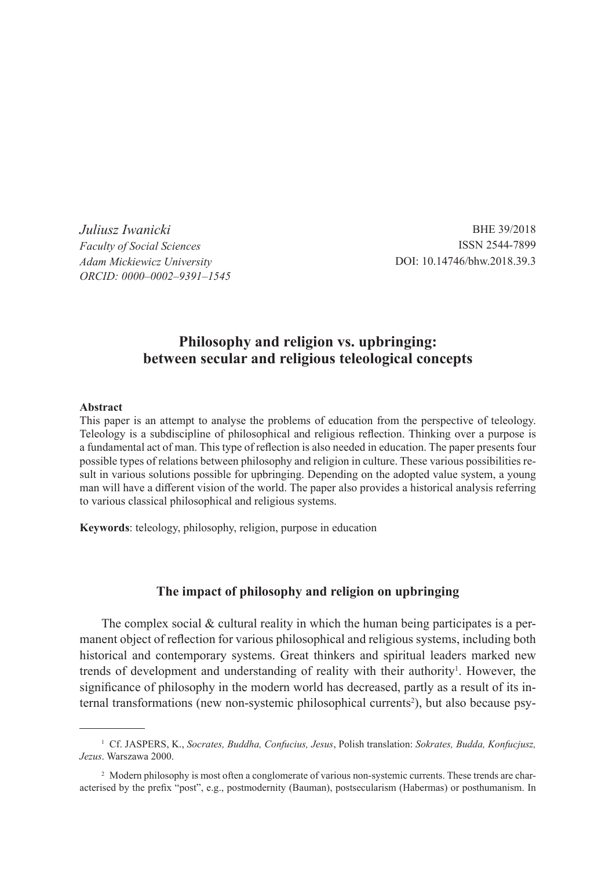*Juliusz Iwanicki Faculty of Social Sciences Adam Mickiewicz University ORCID: 0000–0002–9391–1545*

BHE 39/2018 ISSN 2544-7899 DOI: 10.14746/bhw.2018.39.3

# **Philosophy and religion vs. upbringing: between secular and religious teleological concepts**

#### **Abstract**

This paper is an attempt to analyse the problems of education from the perspective of teleology. Teleology is a subdiscipline of philosophical and religious reflection. Thinking over a purpose is a fundamental act of man. This type of reflection is also needed in education. The paper presents four possible types of relations between philosophy and religion in culture. These various possibilities result in various solutions possible for upbringing. Depending on the adopted value system, a young man will have a different vision of the world. The paper also provides a historical analysis referring to various classical philosophical and religious systems.

**Keywords**: teleology, philosophy, religion, purpose in education

### **The impact of philosophy and religion on upbringing**

The complex social & cultural reality in which the human being participates is a permanent object of reflection for various philosophical and religious systems, including both historical and contemporary systems. Great thinkers and spiritual leaders marked new trends of development and understanding of reality with their authority<sup>1</sup>. However, the significance of philosophy in the modern world has decreased, partly as a result of its internal transformations (new non-systemic philosophical currents<sup>2</sup>), but also because psy-

<sup>1</sup> Cf. JASPERS, K., *Socrates, Buddha, Confucius, Jesus*, Polish translation: *Sokrates, Budda, Konfucjusz, Jezus*. Warszawa 2000.

<sup>&</sup>lt;sup>2</sup> Modern philosophy is most often a conglomerate of various non-systemic currents. These trends are characterised by the prefix "post", e.g., postmodernity (Bauman), postsecularism (Habermas) or posthumanism. In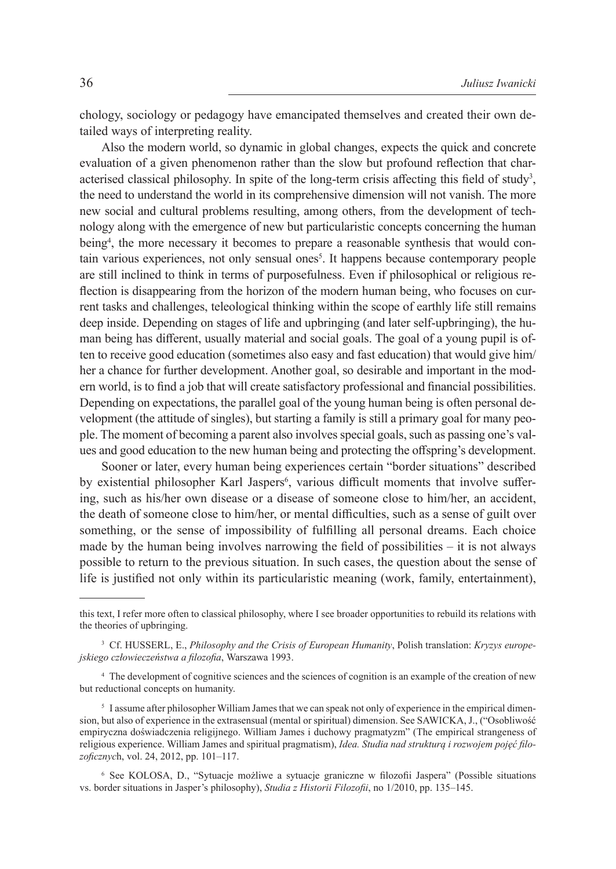chology, sociology or pedagogy have emancipated themselves and created their own detailed ways of interpreting reality.

Also the modern world, so dynamic in global changes, expects the quick and concrete evaluation of a given phenomenon rather than the slow but profound reflection that characterised classical philosophy. In spite of the long-term crisis affecting this field of study<sup>3</sup>, the need to understand the world in its comprehensive dimension will not vanish. The more new social and cultural problems resulting, among others, from the development of technology along with the emergence of new but particularistic concepts concerning the human being<sup>4</sup>, the more necessary it becomes to prepare a reasonable synthesis that would contain various experiences, not only sensual ones<sup>5</sup>. It happens because contemporary people are still inclined to think in terms of purposefulness. Even if philosophical or religious reflection is disappearing from the horizon of the modern human being, who focuses on current tasks and challenges, teleological thinking within the scope of earthly life still remains deep inside. Depending on stages of life and upbringing (and later self-upbringing), the human being has different, usually material and social goals. The goal of a young pupil is often to receive good education (sometimes also easy and fast education) that would give him/ her a chance for further development. Another goal, so desirable and important in the modern world, is to find a job that will create satisfactory professional and financial possibilities. Depending on expectations, the parallel goal of the young human being is often personal development (the attitude of singles), but starting a family is still a primary goal for many people. The moment of becoming a parent also involves special goals, such as passing one's values and good education to the new human being and protecting the offspring's development.

Sooner or later, every human being experiences certain "border situations" described by existential philosopher Karl Jaspers<sup>6</sup>, various difficult moments that involve suffering, such as his/her own disease or a disease of someone close to him/her, an accident, the death of someone close to him/her, or mental difficulties, such as a sense of guilt over something, or the sense of impossibility of fulfilling all personal dreams. Each choice made by the human being involves narrowing the field of possibilities – it is not always possible to return to the previous situation. In such cases, the question about the sense of life is justified not only within its particularistic meaning (work, family, entertainment),

this text, I refer more often to classical philosophy, where I see broader opportunities to rebuild its relations with the theories of upbringing.

<sup>3</sup> Cf. HUSSERL, E., *Philosophy and the Crisis of European Humanity*, Polish translation: *Kryzys europejskiego człowieczeństwa a filozofia*, Warszawa 1993.

<sup>4</sup> The development of cognitive sciences and the sciences of cognition is an example of the creation of new but reductional concepts on humanity.

<sup>5</sup> I assume after philosopher William James that we can speak not only of experience in the empirical dimension, but also of experience in the extrasensual (mental or spiritual) dimension. See SAWICKA, J., ("Osobliwość empiryczna doświadczenia religijnego. William James i duchowy pragmatyzm" (The empirical strangeness of religious experience. William James and spiritual pragmatism), *Idea. Studia nad strukturą i rozwojem pojęć filozoficznyc*h, vol. 24, 2012, pp. 101–117.

<sup>6</sup> See KOLOSA, D., "Sytuacje możliwe a sytuacje graniczne w filozofii Jaspera" (Possible situations vs. border situations in Jasper's philosophy), *Studia z Historii Filozofii*, no 1/2010, pp. 135–145.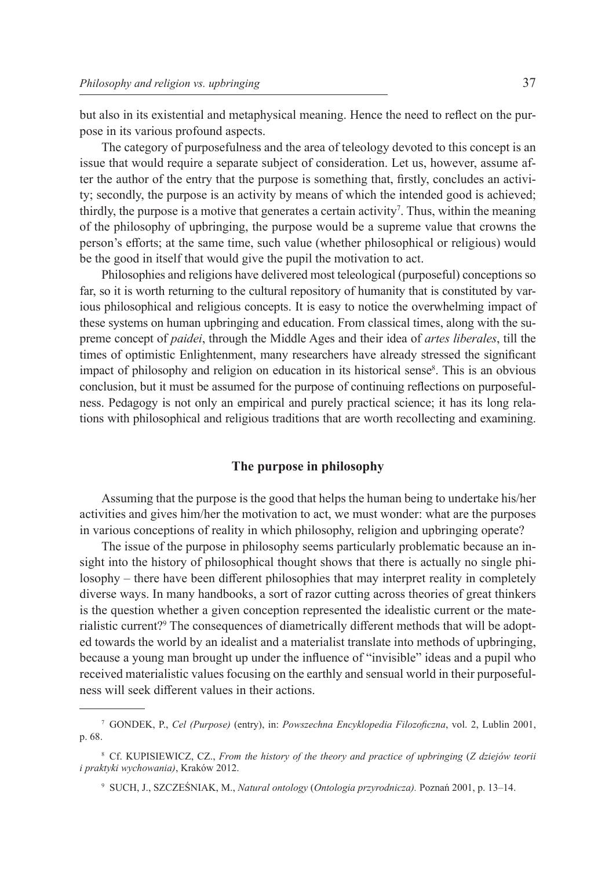but also in its existential and metaphysical meaning. Hence the need to reflect on the purpose in its various profound aspects.

The category of purposefulness and the area of teleology devoted to this concept is an issue that would require a separate subject of consideration. Let us, however, assume after the author of the entry that the purpose is something that, firstly, concludes an activity; secondly, the purpose is an activity by means of which the intended good is achieved; thirdly, the purpose is a motive that generates a certain activity<sup>7</sup>. Thus, within the meaning of the philosophy of upbringing, the purpose would be a supreme value that crowns the person's efforts; at the same time, such value (whether philosophical or religious) would be the good in itself that would give the pupil the motivation to act.

Philosophies and religions have delivered most teleological (purposeful) conceptions so far, so it is worth returning to the cultural repository of humanity that is constituted by various philosophical and religious concepts. It is easy to notice the overwhelming impact of these systems on human upbringing and education. From classical times, along with the supreme concept of *paidei*, through the Middle Ages and their idea of *artes liberales*, till the times of optimistic Enlightenment, many researchers have already stressed the significant impact of philosophy and religion on education in its historical sense<sup>8</sup>. This is an obvious conclusion, but it must be assumed for the purpose of continuing reflections on purposefulness. Pedagogy is not only an empirical and purely practical science; it has its long relations with philosophical and religious traditions that are worth recollecting and examining.

### **The purpose in philosophy**

Assuming that the purpose is the good that helps the human being to undertake his/her activities and gives him/her the motivation to act, we must wonder: what are the purposes in various conceptions of reality in which philosophy, religion and upbringing operate?

The issue of the purpose in philosophy seems particularly problematic because an insight into the history of philosophical thought shows that there is actually no single philosophy – there have been different philosophies that may interpret reality in completely diverse ways. In many handbooks, a sort of razor cutting across theories of great thinkers is the question whether a given conception represented the idealistic current or the materialistic current?<sup>9</sup> The consequences of diametrically different methods that will be adopted towards the world by an idealist and a materialist translate into methods of upbringing, because a young man brought up under the influence of "invisible" ideas and a pupil who received materialistic values focusing on the earthly and sensual world in their purposefulness will seek different values in their actions.

<sup>7</sup> GONDEK, P., *Cel (Purpose)* (entry), in: *Powszechna Encyklopedia Filozoficzna*, vol. 2, Lublin 2001, p. 68.

<sup>8</sup> Cf. KUPISIEWICZ, CZ., *From the history of the theory and practice of upbringing* (*Z dziejów teorii i praktyki wychowania)*, Kraków 2012.

<sup>9</sup> SUCH, J., SZCZEŚNIAK, M., *Natural ontology* (*Ontologia przyrodnicza).* Poznań 2001, p. 13–14.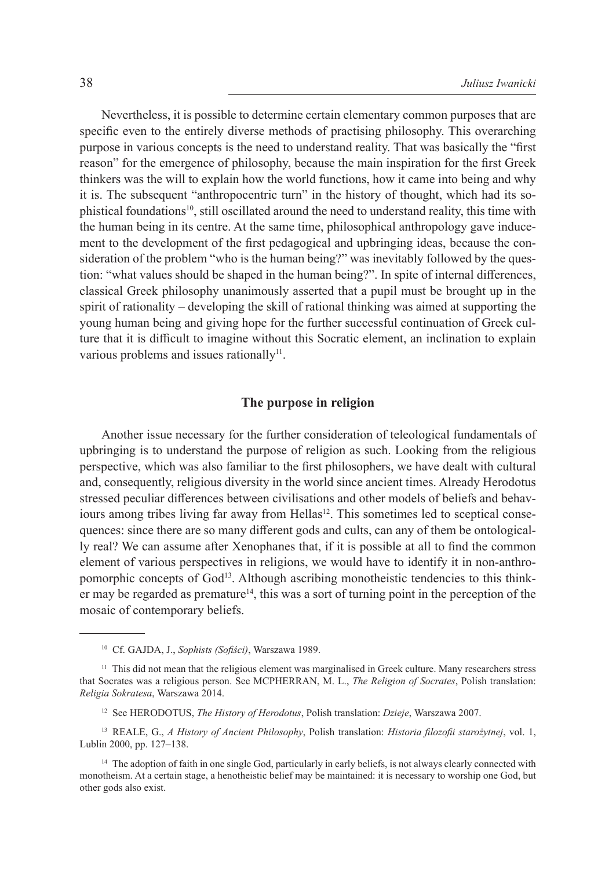Nevertheless, it is possible to determine certain elementary common purposes that are specific even to the entirely diverse methods of practising philosophy. This overarching purpose in various concepts is the need to understand reality. That was basically the "first reason" for the emergence of philosophy, because the main inspiration for the first Greek thinkers was the will to explain how the world functions, how it came into being and why it is. The subsequent "anthropocentric turn" in the history of thought, which had its sophistical foundations<sup>10</sup>, still oscillated around the need to understand reality, this time with the human being in its centre. At the same time, philosophical anthropology gave inducement to the development of the first pedagogical and upbringing ideas, because the consideration of the problem "who is the human being?" was inevitably followed by the question: "what values should be shaped in the human being?". In spite of internal differences, classical Greek philosophy unanimously asserted that a pupil must be brought up in the spirit of rationality – developing the skill of rational thinking was aimed at supporting the young human being and giving hope for the further successful continuation of Greek culture that it is difficult to imagine without this Socratic element, an inclination to explain various problems and issues rationally $11$ .

### **The purpose in religion**

Another issue necessary for the further consideration of teleological fundamentals of upbringing is to understand the purpose of religion as such. Looking from the religious perspective, which was also familiar to the first philosophers, we have dealt with cultural and, consequently, religious diversity in the world since ancient times. Already Herodotus stressed peculiar differences between civilisations and other models of beliefs and behaviours among tribes living far away from Hellas<sup>12</sup>. This sometimes led to sceptical consequences: since there are so many different gods and cults, can any of them be ontologically real? We can assume after Xenophanes that, if it is possible at all to find the common element of various perspectives in religions, we would have to identify it in non-anthropomorphic concepts of God13. Although ascribing monotheistic tendencies to this thinker may be regarded as premature<sup>14</sup>, this was a sort of turning point in the perception of the mosaic of contemporary beliefs.

<sup>10</sup> Cf. GAJDA, J., *Sophists (Sofiści)*, Warszawa 1989.

<sup>&</sup>lt;sup>11</sup> This did not mean that the religious element was marginalised in Greek culture. Many researchers stress that Socrates was a religious person. See MCPHERRAN, M. L., *The Religion of Socrates*, Polish translation: *Religia Sokratesa*, Warszawa 2014.

<sup>12</sup> See HERODOTUS, *The History of Herodotus*, Polish translation: *Dzieje*, Warszawa 2007.

<sup>13</sup> REALE, G., *A History of Ancient Philosophy*, Polish translation: *Historia filozofii starożytnej*, vol. 1, Lublin 2000, pp. 127–138.

<sup>&</sup>lt;sup>14</sup> The adoption of faith in one single God, particularly in early beliefs, is not always clearly connected with monotheism. At a certain stage, a henotheistic belief may be maintained: it is necessary to worship one God, but other gods also exist.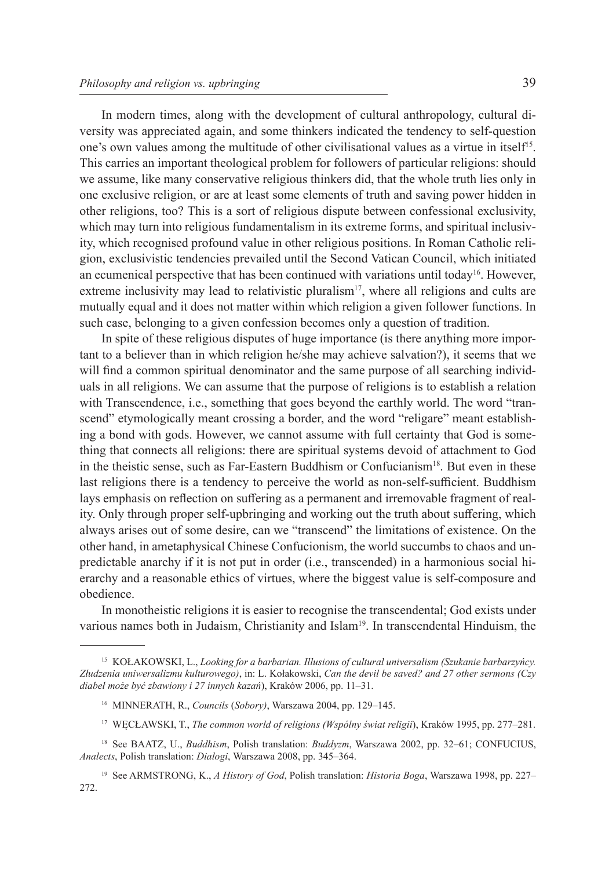In modern times, along with the development of cultural anthropology, cultural diversity was appreciated again, and some thinkers indicated the tendency to self-question one's own values among the multitude of other civilisational values as a virtue in itself<sup>15</sup>. This carries an important theological problem for followers of particular religions: should we assume, like many conservative religious thinkers did, that the whole truth lies only in one exclusive religion, or are at least some elements of truth and saving power hidden in other religions, too? This is a sort of religious dispute between confessional exclusivity, which may turn into religious fundamentalism in its extreme forms, and spiritual inclusivity, which recognised profound value in other religious positions. In Roman Catholic religion, exclusivistic tendencies prevailed until the Second Vatican Council, which initiated an ecumenical perspective that has been continued with variations until today<sup>16</sup>. However, extreme inclusivity may lead to relativistic pluralism<sup>17</sup>, where all religions and cults are mutually equal and it does not matter within which religion a given follower functions. In such case, belonging to a given confession becomes only a question of tradition.

In spite of these religious disputes of huge importance (is there anything more important to a believer than in which religion he/she may achieve salvation?), it seems that we will find a common spiritual denominator and the same purpose of all searching individuals in all religions. We can assume that the purpose of religions is to establish a relation with Transcendence, i.e., something that goes beyond the earthly world. The word "transcend" etymologically meant crossing a border, and the word "religare" meant establishing a bond with gods. However, we cannot assume with full certainty that God is something that connects all religions: there are spiritual systems devoid of attachment to God in the theistic sense, such as Far-Eastern Buddhism or Confucianism<sup>18</sup>. But even in these last religions there is a tendency to perceive the world as non-self-sufficient. Buddhism lays emphasis on reflection on suffering as a permanent and irremovable fragment of reality. Only through proper self-upbringing and working out the truth about suffering, which always arises out of some desire, can we "transcend" the limitations of existence. On the other hand, in ametaphysical Chinese Confucionism, the world succumbs to chaos and unpredictable anarchy if it is not put in order (i.e., transcended) in a harmonious social hierarchy and a reasonable ethics of virtues, where the biggest value is self-composure and obedience.

In monotheistic religions it is easier to recognise the transcendental; God exists under various names both in Judaism, Christianity and Islam<sup>19</sup>. In transcendental Hinduism, the

<sup>15</sup> KOŁAKOWSKI, L., *Looking for a barbarian. Illusions of cultural universalism (Szukanie barbarzyńcy. Złudzenia uniwersalizmu kulturowego)*, in: L. Kołakowski, *Can the devil be saved? and 27 other sermons (Czy diabeł może być zbawiony i 27 innych kazań*), Kraków 2006, pp. 11–31.

<sup>16</sup> MINNERATH, R., *Councils* (*Sobory)*, Warszawa 2004, pp. 129–145.

<sup>17</sup> WĘCŁAWSKI, T., *The common world of religions (Wspólny świat religii*), Kraków 1995, pp. 277–281.

<sup>18</sup> See BAATZ, U., *Buddhism*, Polish translation: *Buddyzm*, Warszawa 2002, pp. 32–61; CONFUCIUS, *Analects*, Polish translation: *Dialogi*, Warszawa 2008, pp. 345–364.

<sup>19</sup> See ARMSTRONG, K., *A History of God*, Polish translation: *Historia Boga*, Warszawa 1998, pp. 227– 272.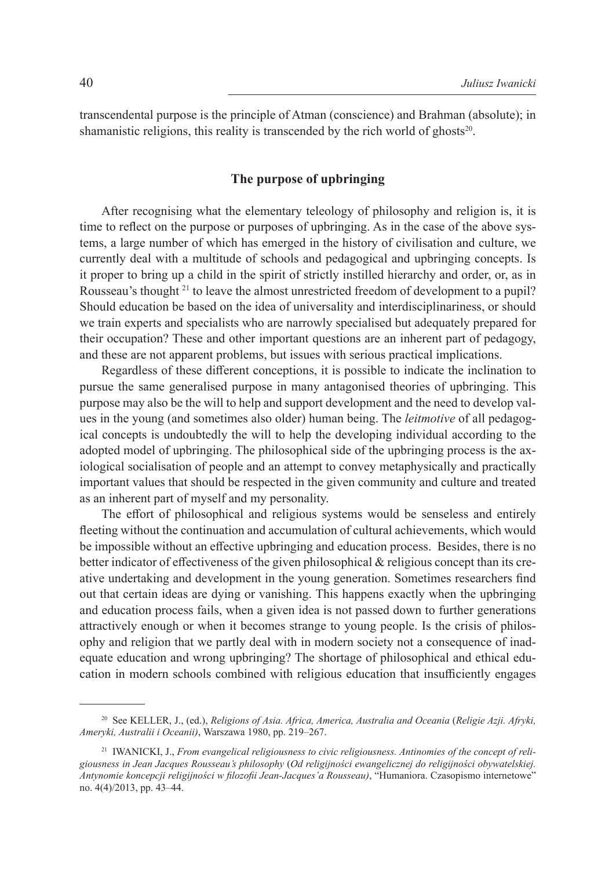transcendental purpose is the principle of Atman (conscience) and Brahman (absolute); in shamanistic religions, this reality is transcended by the rich world of ghosts $20$ .

### **The purpose of upbringing**

After recognising what the elementary teleology of philosophy and religion is, it is time to reflect on the purpose or purposes of upbringing. As in the case of the above systems, a large number of which has emerged in the history of civilisation and culture, we currently deal with a multitude of schools and pedagogical and upbringing concepts. Is it proper to bring up a child in the spirit of strictly instilled hierarchy and order, or, as in Rousseau's thought <sup>21</sup> to leave the almost unrestricted freedom of development to a pupil? Should education be based on the idea of universality and interdisciplinariness, or should we train experts and specialists who are narrowly specialised but adequately prepared for their occupation? These and other important questions are an inherent part of pedagogy, and these are not apparent problems, but issues with serious practical implications.

Regardless of these different conceptions, it is possible to indicate the inclination to pursue the same generalised purpose in many antagonised theories of upbringing. This purpose may also be the will to help and support development and the need to develop values in the young (and sometimes also older) human being. The *leitmotive* of all pedagogical concepts is undoubtedly the will to help the developing individual according to the adopted model of upbringing. The philosophical side of the upbringing process is the axiological socialisation of people and an attempt to convey metaphysically and practically important values that should be respected in the given community and culture and treated as an inherent part of myself and my personality.

The effort of philosophical and religious systems would be senseless and entirely fleeting without the continuation and accumulation of cultural achievements, which would be impossible without an effective upbringing and education process. Besides, there is no better indicator of effectiveness of the given philosophical & religious concept than its creative undertaking and development in the young generation. Sometimes researchers find out that certain ideas are dying or vanishing. This happens exactly when the upbringing and education process fails, when a given idea is not passed down to further generations attractively enough or when it becomes strange to young people. Is the crisis of philosophy and religion that we partly deal with in modern society not a consequence of inadequate education and wrong upbringing? The shortage of philosophical and ethical education in modern schools combined with religious education that insufficiently engages

<sup>20</sup> See KELLER, J., (ed.), *Religions of Asia. Africa, America, Australia and Oceania* (*Religie Azji. Afryki, Ameryki, Australii i Oceanii)*, Warszawa 1980, pp. 219–267.

<sup>21</sup> IWANICKI, J., *From evangelical religiousness to civic religiousness. Antinomies of the concept of religiousness in Jean Jacques Rousseau's philosophy* (*Od religijności ewangelicznej do religijności obywatelskiej. Antynomie koncepcji religijności w filozofii Jean-Jacques'a Rousseau)*, "Humaniora. Czasopismo internetowe" no. 4(4)/2013, pp. 43–44.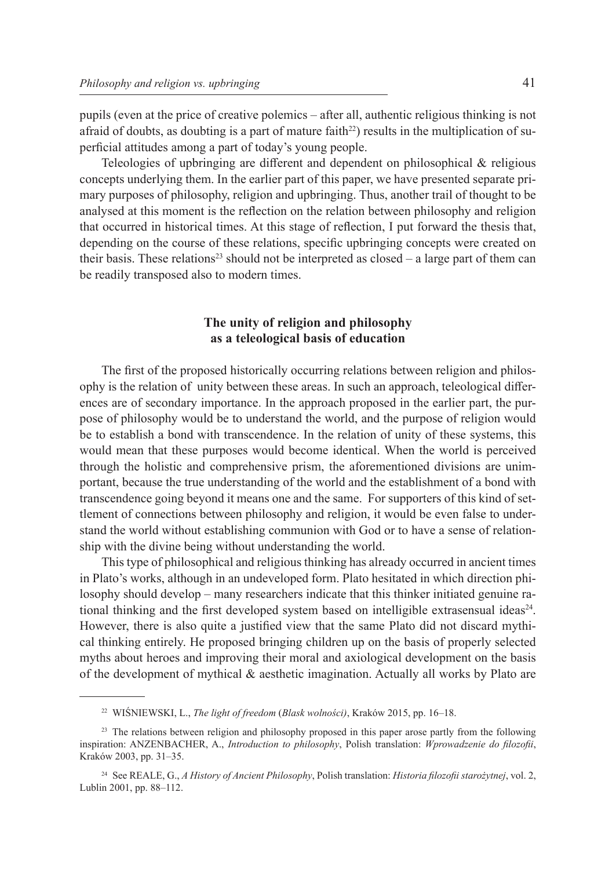pupils (even at the price of creative polemics – after all, authentic religious thinking is not afraid of doubts, as doubting is a part of mature faith $^{22}$ ) results in the multiplication of superficial attitudes among a part of today's young people.

Teleologies of upbringing are different and dependent on philosophical & religious concepts underlying them. In the earlier part of this paper, we have presented separate primary purposes of philosophy, religion and upbringing. Thus, another trail of thought to be analysed at this moment is the reflection on the relation between philosophy and religion that occurred in historical times. At this stage of reflection, I put forward the thesis that, depending on the course of these relations, specific upbringing concepts were created on their basis. These relations<sup>23</sup> should not be interpreted as  $closed - a$  large part of them can be readily transposed also to modern times.

## **The unity of religion and philosophy as a teleological basis of education**

The first of the proposed historically occurring relations between religion and philosophy is the relation of unity between these areas. In such an approach, teleological differences are of secondary importance. In the approach proposed in the earlier part, the purpose of philosophy would be to understand the world, and the purpose of religion would be to establish a bond with transcendence. In the relation of unity of these systems, this would mean that these purposes would become identical. When the world is perceived through the holistic and comprehensive prism, the aforementioned divisions are unimportant, because the true understanding of the world and the establishment of a bond with transcendence going beyond it means one and the same. For supporters of this kind of settlement of connections between philosophy and religion, it would be even false to understand the world without establishing communion with God or to have a sense of relationship with the divine being without understanding the world.

This type of philosophical and religious thinking has already occurred in ancient times in Plato's works, although in an undeveloped form. Plato hesitated in which direction philosophy should develop – many researchers indicate that this thinker initiated genuine rational thinking and the first developed system based on intelligible extrasensual ideas<sup>24</sup>. However, there is also quite a justified view that the same Plato did not discard mythical thinking entirely. He proposed bringing children up on the basis of properly selected myths about heroes and improving their moral and axiological development on the basis of the development of mythical  $\&$  aesthetic imagination. Actually all works by Plato are

<sup>22</sup> WIŚNIEWSKI, L., *The light of freedom* (*Blask wolności)*, Kraków 2015, pp. 16–18.

<sup>&</sup>lt;sup>23</sup> The relations between religion and philosophy proposed in this paper arose partly from the following inspiration: ANZENBACHER, A., *Introduction to philosophy*, Polish translation: *Wprowadzenie do filozofii*, Kraków 2003, pp. 31–35.

<sup>24</sup> See REALE, G., *A History of Ancient Philosophy*, Polish translation: *Historia filozofii starożytnej*, vol. 2, Lublin 2001, pp. 88–112.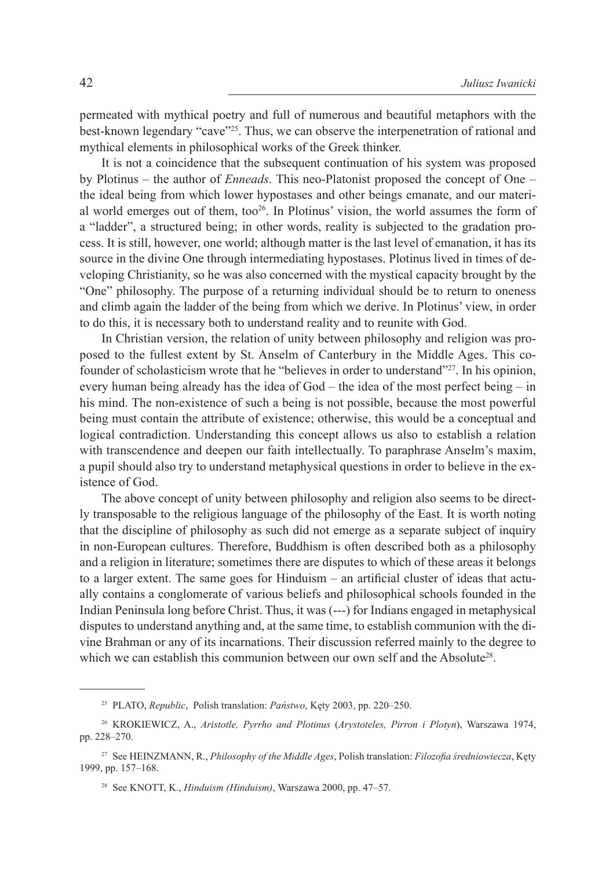permeated with mythical poetry and full of numerous and beautiful metaphors with the best-known legendary "cave"25. Thus, we can observe the interpenetration of rational and mythical elements in philosophical works of the Greek thinker.

It is not a coincidence that the subsequent continuation of his system was proposed by Plotinus – the author of *Enneads*. This neo-Platonist proposed the concept of One – the ideal being from which lower hypostases and other beings emanate, and our material world emerges out of them, too<sup>26</sup>. In Plotinus' vision, the world assumes the form of a "ladder", a structured being; in other words, reality is subjected to the gradation process. It is still, however, one world; although matter is the last level of emanation, it has its source in the divine One through intermediating hypostases. Plotinus lived in times of developing Christianity, so he was also concerned with the mystical capacity brought by the "One" philosophy. The purpose of a returning individual should be to return to oneness and climb again the ladder of the being from which we derive. In Plotinus' view, in order to do this, it is necessary both to understand reality and to reunite with God.

In Christian version, the relation of unity between philosophy and religion was proposed to the fullest extent by St. Anselm of Canterbury in the Middle Ages. This cofounder of scholasticism wrote that he "believes in order to understand"<sup>27</sup>. In his opinion, every human being already has the idea of God – the idea of the most perfect being – in his mind. The non-existence of such a being is not possible, because the most powerful being must contain the attribute of existence; otherwise, this would be a conceptual and logical contradiction. Understanding this concept allows us also to establish a relation with transcendence and deepen our faith intellectually. To paraphrase Anselm's maxim, a pupil should also try to understand metaphysical questions in order to believe in the existence of God.

The above concept of unity between philosophy and religion also seems to be directly transposable to the religious language of the philosophy of the East. It is worth noting that the discipline of philosophy as such did not emerge as a separate subject of inquiry in non-European cultures. Therefore, Buddhism is often described both as a philosophy and a religion in literature; sometimes there are disputes to which of these areas it belongs to a larger extent. The same goes for Hinduism – an artificial cluster of ideas that actually contains a conglomerate of various beliefs and philosophical schools founded in the Indian Peninsula long before Christ. Thus, it was (---) for Indians engaged in metaphysical disputes to understand anything and, at the same time, to establish communion with the divine Brahman or any of its incarnations. Their discussion referred mainly to the degree to which we can establish this communion between our own self and the Absolute<sup>28</sup>.

<sup>25</sup> PLATO, *Republic*, Polish translation: *Państwo*, Kęty 2003, pp. 220–250.

<sup>26</sup> KROKIEWICZ, A., *Aristotle, Pyrrho and Plotinus* (*Arystoteles, Pirron i Plotyn*), Warszawa 1974, pp. 228–270.

<sup>27</sup> See HEINZMANN, R., *Philosophy of the Middle Ages*, Polish translation: *Filozofia średniowiecza*, Kęty 1999, pp. 157–168.

<sup>28</sup> See KNOTT, K., *Hinduism (Hinduism)*, Warszawa 2000, pp. 47–57.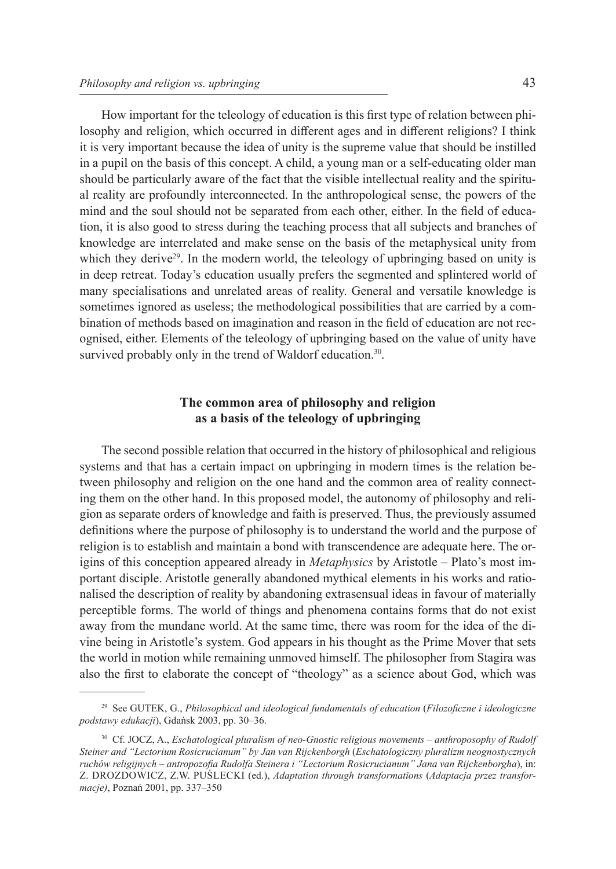How important for the teleology of education is this first type of relation between philosophy and religion, which occurred in different ages and in different religions? I think it is very important because the idea of unity is the supreme value that should be instilled in a pupil on the basis of this concept. A child, a young man or a self-educating older man should be particularly aware of the fact that the visible intellectual reality and the spiritual reality are profoundly interconnected. In the anthropological sense, the powers of the mind and the soul should not be separated from each other, either. In the field of education, it is also good to stress during the teaching process that all subjects and branches of knowledge are interrelated and make sense on the basis of the metaphysical unity from which they derive<sup>29</sup>. In the modern world, the teleology of upbringing based on unity is in deep retreat. Today's education usually prefers the segmented and splintered world of many specialisations and unrelated areas of reality. General and versatile knowledge is sometimes ignored as useless; the methodological possibilities that are carried by a combination of methods based on imagination and reason in the field of education are not recognised, either. Elements of the teleology of upbringing based on the value of unity have survived probably only in the trend of Waldorf education.<sup>30</sup>.

# **The common area of philosophy and religion as a basis of the teleology of upbringing**

The second possible relation that occurred in the history of philosophical and religious systems and that has a certain impact on upbringing in modern times is the relation between philosophy and religion on the one hand and the common area of reality connecting them on the other hand. In this proposed model, the autonomy of philosophy and religion as separate orders of knowledge and faith is preserved. Thus, the previously assumed definitions where the purpose of philosophy is to understand the world and the purpose of religion is to establish and maintain a bond with transcendence are adequate here. The origins of this conception appeared already in *Metaphysics* by Aristotle – Plato's most important disciple. Aristotle generally abandoned mythical elements in his works and rationalised the description of reality by abandoning extrasensual ideas in favour of materially perceptible forms. The world of things and phenomena contains forms that do not exist away from the mundane world. At the same time, there was room for the idea of the divine being in Aristotle's system. God appears in his thought as the Prime Mover that sets the world in motion while remaining unmoved himself. The philosopher from Stagira was also the first to elaborate the concept of "theology" as a science about God, which was

<sup>29</sup> See GUTEK, G., *Philosophical and ideological fundamentals of education* (*Filozoficzne i ideologiczne podstawy edukacji*), Gdańsk 2003, pp. 30–36.

<sup>30</sup> Cf. JOCZ, A., *Eschatological pluralism of neo-Gnostic religious movements* – *anthroposophy of Rudolf Steiner and "Lectorium Rosicrucianum" by Jan van Rijckenborgh* (*Eschatologiczny pluralizm neognostycznych ruchów religijnych – antropozofia Rudolfa Steinera i "Lectorium Rosicrucianum" Jana van Rijckenborgha*), in: Z. DROZDOWICZ, Z.W. PUŚLECKI (ed.), *Adaptation through transformations* (*Adaptacja przez transformacje)*, Poznań 2001, pp. 337–350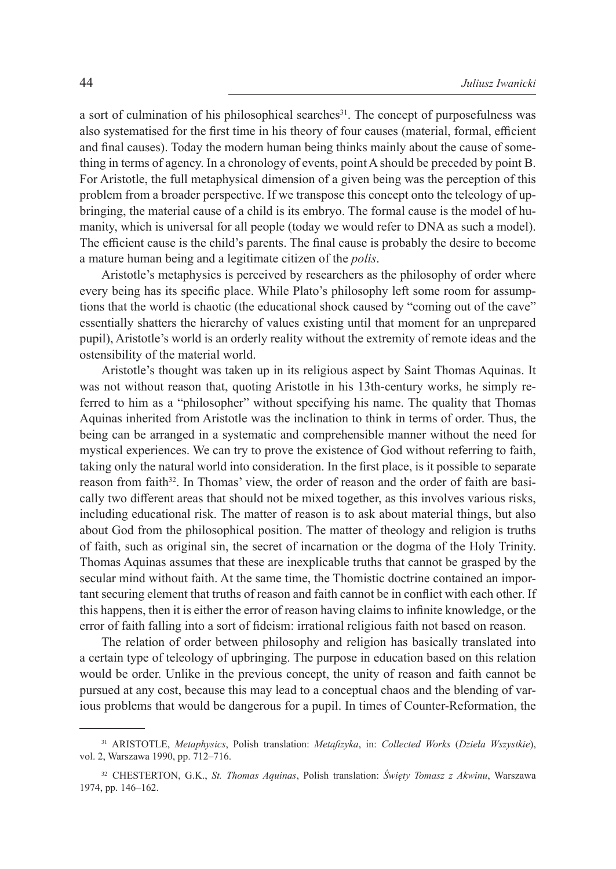a sort of culmination of his philosophical searches<sup>31</sup>. The concept of purposefulness was also systematised for the first time in his theory of four causes (material, formal, efficient and final causes). Today the modern human being thinks mainly about the cause of something in terms of agency. In a chronology of events, point A should be preceded by point B. For Aristotle, the full metaphysical dimension of a given being was the perception of this problem from a broader perspective. If we transpose this concept onto the teleology of upbringing, the material cause of a child is its embryo. The formal cause is the model of humanity, which is universal for all people (today we would refer to DNA as such a model). The efficient cause is the child's parents. The final cause is probably the desire to become a mature human being and a legitimate citizen of the *polis*.

Aristotle's metaphysics is perceived by researchers as the philosophy of order where every being has its specific place. While Plato's philosophy left some room for assumptions that the world is chaotic (the educational shock caused by "coming out of the cave" essentially shatters the hierarchy of values existing until that moment for an unprepared pupil), Aristotle's world is an orderly reality without the extremity of remote ideas and the ostensibility of the material world.

Aristotle's thought was taken up in its religious aspect by Saint Thomas Aquinas. It was not without reason that, quoting Aristotle in his 13th-century works, he simply referred to him as a "philosopher" without specifying his name. The quality that Thomas Aquinas inherited from Aristotle was the inclination to think in terms of order. Thus, the being can be arranged in a systematic and comprehensible manner without the need for mystical experiences. We can try to prove the existence of God without referring to faith, taking only the natural world into consideration. In the first place, is it possible to separate reason from faith<sup>32</sup>. In Thomas' view, the order of reason and the order of faith are basically two different areas that should not be mixed together, as this involves various risks, including educational risk. The matter of reason is to ask about material things, but also about God from the philosophical position. The matter of theology and religion is truths of faith, such as original sin, the secret of incarnation or the dogma of the Holy Trinity. Thomas Aquinas assumes that these are inexplicable truths that cannot be grasped by the secular mind without faith. At the same time, the Thomistic doctrine contained an important securing element that truths of reason and faith cannot be in conflict with each other. If this happens, then it is either the error of reason having claims to infinite knowledge, or the error of faith falling into a sort of fideism: irrational religious faith not based on reason.

The relation of order between philosophy and religion has basically translated into a certain type of teleology of upbringing. The purpose in education based on this relation would be order. Unlike in the previous concept, the unity of reason and faith cannot be pursued at any cost, because this may lead to a conceptual chaos and the blending of various problems that would be dangerous for a pupil. In times of Counter-Reformation, the

<sup>31</sup> ARISTOTLE, *Metaphysics*, Polish translation: *Metafizyka*, in: *Collected Works* (*Dzieła Wszystkie*), vol. 2, Warszawa 1990, pp. 712–716.

<sup>32</sup> CHESTERTON, G.K., *St. Thomas Aquinas*, Polish translation: *Święty Tomasz z Akwinu*, Warszawa 1974, pp. 146–162.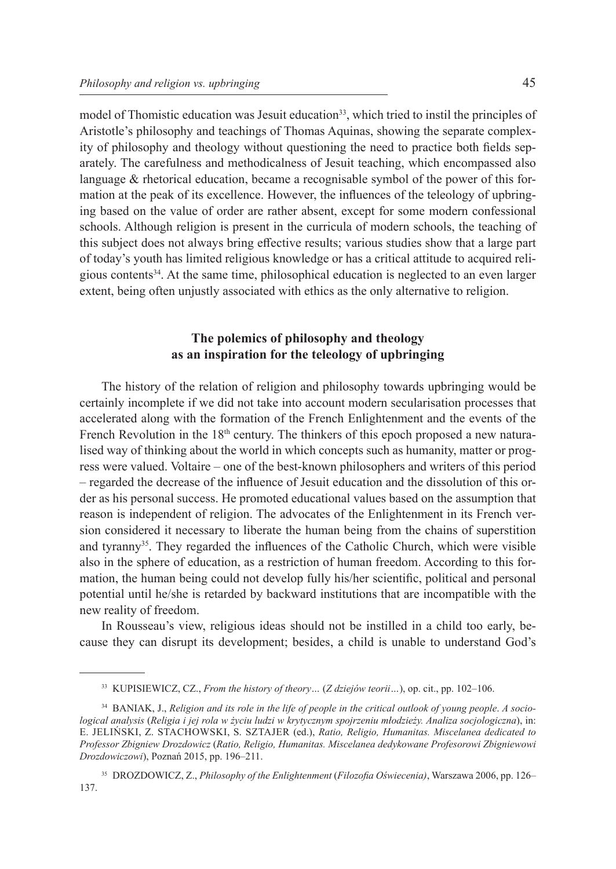model of Thomistic education was Jesuit education<sup>33</sup>, which tried to instil the principles of Aristotle's philosophy and teachings of Thomas Aquinas, showing the separate complexity of philosophy and theology without questioning the need to practice both fields separately. The carefulness and methodicalness of Jesuit teaching, which encompassed also language & rhetorical education, became a recognisable symbol of the power of this formation at the peak of its excellence. However, the influences of the teleology of upbringing based on the value of order are rather absent, except for some modern confessional schools. Although religion is present in the curricula of modern schools, the teaching of this subject does not always bring effective results; various studies show that a large part of today's youth has limited religious knowledge or has a critical attitude to acquired religious contents34. At the same time, philosophical education is neglected to an even larger extent, being often unjustly associated with ethics as the only alternative to religion.

# **The polemics of philosophy and theology as an inspiration for the teleology of upbringing**

The history of the relation of religion and philosophy towards upbringing would be certainly incomplete if we did not take into account modern secularisation processes that accelerated along with the formation of the French Enlightenment and the events of the French Revolution in the  $18<sup>th</sup>$  century. The thinkers of this epoch proposed a new naturalised way of thinking about the world in which concepts such as humanity, matter or progress were valued. Voltaire – one of the best-known philosophers and writers of this period – regarded the decrease of the influence of Jesuit education and the dissolution of this order as his personal success. He promoted educational values based on the assumption that reason is independent of religion. The advocates of the Enlightenment in its French version considered it necessary to liberate the human being from the chains of superstition and tyranny35. They regarded the influences of the Catholic Church, which were visible also in the sphere of education, as a restriction of human freedom. According to this formation, the human being could not develop fully his/her scientific, political and personal potential until he/she is retarded by backward institutions that are incompatible with the new reality of freedom.

In Rousseau's view, religious ideas should not be instilled in a child too early, because they can disrupt its development; besides, a child is unable to understand God's

<sup>33</sup> KUPISIEWICZ, CZ., *From the history of theory…* (*Z dziejów teorii…*), op. cit., pp. 102–106.

<sup>34</sup> BANIAK, J., *Religion and its role in the life of people in the critical outlook of young people*. *A sociological analysis* (*Religia i jej rola w życiu ludzi w krytycznym spojrzeniu młodzieży. Analiza socjologiczna*), in: E. JELIŃSKI, Z. STACHOWSKI, S. SZTAJER (ed.), *Ratio, Religio, Humanitas. Miscelanea dedicated to Professor Zbigniew Drozdowicz* (*Ratio, Religio, Humanitas. Miscelanea dedykowane Profesorowi Zbigniewowi Drozdowiczowi*), Poznań 2015, pp. 196–211.

<sup>35</sup> DROZDOWICZ, Z., *Philosophy of the Enlightenment* (*Filozofia Oświecenia)*, Warszawa 2006, pp. 126– 137.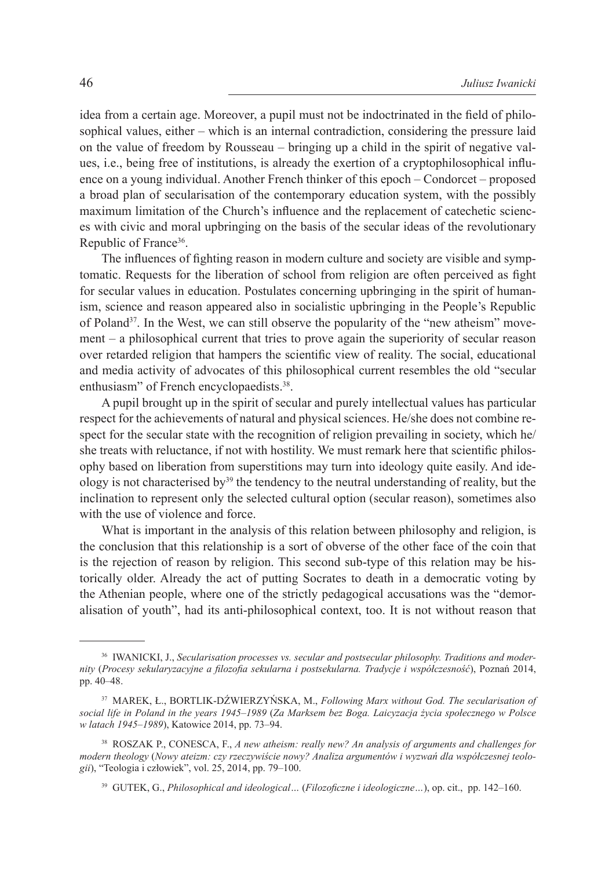idea from a certain age. Moreover, a pupil must not be indoctrinated in the field of philosophical values, either – which is an internal contradiction, considering the pressure laid on the value of freedom by Rousseau – bringing up a child in the spirit of negative values, i.e., being free of institutions, is already the exertion of a cryptophilosophical influence on a young individual. Another French thinker of this epoch – Condorcet – proposed a broad plan of secularisation of the contemporary education system, with the possibly maximum limitation of the Church's influence and the replacement of catechetic sciences with civic and moral upbringing on the basis of the secular ideas of the revolutionary Republic of France<sup>36</sup>.

The influences of fighting reason in modern culture and society are visible and symptomatic. Requests for the liberation of school from religion are often perceived as fight for secular values in education. Postulates concerning upbringing in the spirit of humanism, science and reason appeared also in socialistic upbringing in the People's Republic of Poland<sup>37</sup>. In the West, we can still observe the popularity of the "new atheism" movement – a philosophical current that tries to prove again the superiority of secular reason over retarded religion that hampers the scientific view of reality. The social, educational and media activity of advocates of this philosophical current resembles the old "secular enthusiasm" of French encyclopaedists.<sup>38</sup>.

A pupil brought up in the spirit of secular and purely intellectual values has particular respect for the achievements of natural and physical sciences. He/she does not combine respect for the secular state with the recognition of religion prevailing in society, which he/ she treats with reluctance, if not with hostility. We must remark here that scientific philosophy based on liberation from superstitions may turn into ideology quite easily. And ideology is not characterised by<sup>39</sup> the tendency to the neutral understanding of reality, but the inclination to represent only the selected cultural option (secular reason), sometimes also with the use of violence and force.

What is important in the analysis of this relation between philosophy and religion, is the conclusion that this relationship is a sort of obverse of the other face of the coin that is the rejection of reason by religion. This second sub-type of this relation may be historically older. Already the act of putting Socrates to death in a democratic voting by the Athenian people, where one of the strictly pedagogical accusations was the "demoralisation of youth", had its anti-philosophical context, too. It is not without reason that

<sup>36</sup> IWANICKI, J., *Secularisation processes vs. secular and postsecular philosophy. Traditions and modernity* (*Procesy sekularyzacyjne a filozofia sekularna i postsekularna. Tradycje i współczesność*), Poznań 2014, pp. 40–48.

<sup>37</sup> MAREK, Ł., BORTLIK-DŹWIERZYŃSKA, M., *Following Marx without God. The secularisation of social life in Poland in the years 1945–1989* (*Za Marksem bez Boga. Laicyzacja życia społecznego w Polsce w latach 1945–1989*), Katowice 2014, pp. 73–94.

<sup>38</sup> ROSZAK P., CONESCA, F., *A new atheism: really new? An analysis of arguments and challenges for modern theology* (*Nowy ateizm: czy rzeczywiście nowy? Analiza argumentów i wyzwań dla współczesnej teologii*), "Teologia i człowiek", vol. 25, 2014, pp. 79–100.

<sup>39</sup> GUTEK, G., *Philosophical and ideological…* (*Filozoficzne i ideologiczne…*), op. cit., pp. 142–160.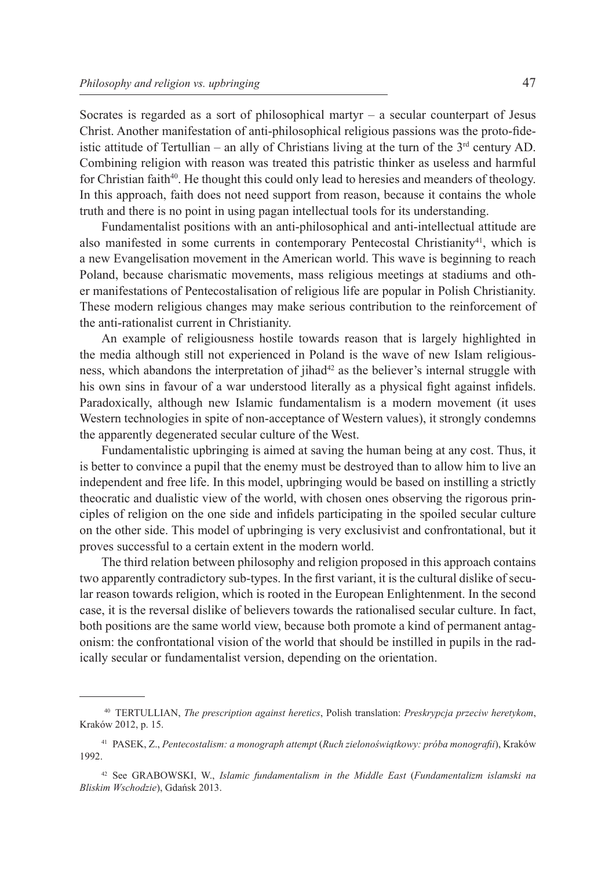Socrates is regarded as a sort of philosophical martyr – a secular counterpart of Jesus Christ. Another manifestation of anti-philosophical religious passions was the proto-fideistic attitude of Tertullian – an ally of Christians living at the turn of the  $3<sup>rd</sup>$  century AD. Combining religion with reason was treated this patristic thinker as useless and harmful for Christian faith $40$ . He thought this could only lead to heresies and meanders of theology. In this approach, faith does not need support from reason, because it contains the whole truth and there is no point in using pagan intellectual tools for its understanding.

Fundamentalist positions with an anti-philosophical and anti-intellectual attitude are also manifested in some currents in contemporary Pentecostal Christianity<sup>41</sup>, which is a new Evangelisation movement in the American world. This wave is beginning to reach Poland, because charismatic movements, mass religious meetings at stadiums and other manifestations of Pentecostalisation of religious life are popular in Polish Christianity. These modern religious changes may make serious contribution to the reinforcement of the anti-rationalist current in Christianity.

An example of religiousness hostile towards reason that is largely highlighted in the media although still not experienced in Poland is the wave of new Islam religiousness, which abandons the interpretation of jihad<sup>42</sup> as the believer's internal struggle with his own sins in favour of a war understood literally as a physical fight against infidels. Paradoxically, although new Islamic fundamentalism is a modern movement (it uses Western technologies in spite of non-acceptance of Western values), it strongly condemns the apparently degenerated secular culture of the West.

Fundamentalistic upbringing is aimed at saving the human being at any cost. Thus, it is better to convince a pupil that the enemy must be destroyed than to allow him to live an independent and free life. In this model, upbringing would be based on instilling a strictly theocratic and dualistic view of the world, with chosen ones observing the rigorous principles of religion on the one side and infidels participating in the spoiled secular culture on the other side. This model of upbringing is very exclusivist and confrontational, but it proves successful to a certain extent in the modern world.

The third relation between philosophy and religion proposed in this approach contains two apparently contradictory sub-types. In the first variant, it is the cultural dislike of secular reason towards religion, which is rooted in the European Enlightenment. In the second case, it is the reversal dislike of believers towards the rationalised secular culture. In fact, both positions are the same world view, because both promote a kind of permanent antagonism: the confrontational vision of the world that should be instilled in pupils in the radically secular or fundamentalist version, depending on the orientation.

<sup>40</sup> TERTULLIAN, *The prescription against heretics*, Polish translation: *Preskrypcja przeciw heretykom*, Kraków 2012, p. 15.

<sup>41</sup> PASEK, Z., *Pentecostalism: a monograph attempt* (*Ruch zielonoświątkowy: próba monografii*), Kraków 1992.

<sup>42</sup> See GRABOWSKI, W., *Islamic fundamentalism in the Middle East* (*Fundamentalizm islamski na Bliskim Wschodzie*), Gdańsk 2013.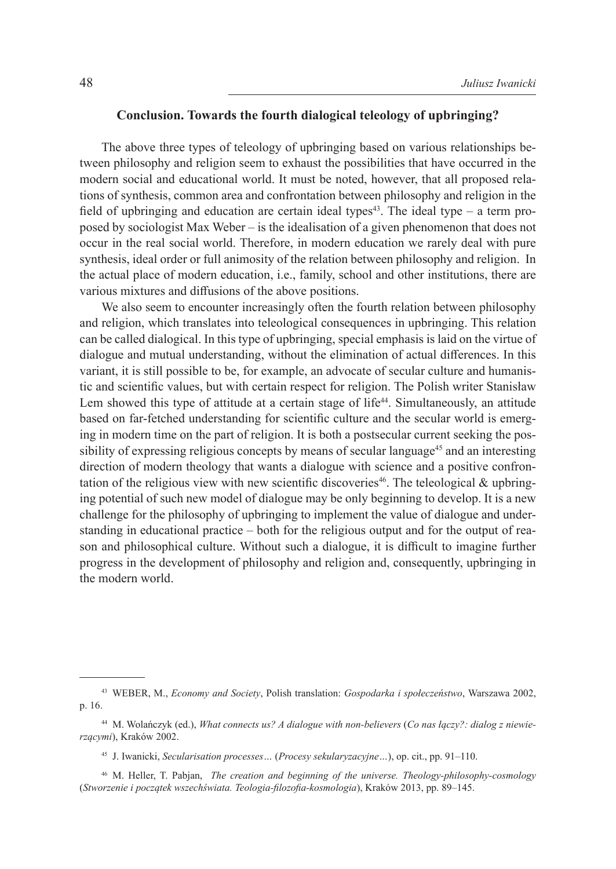### **Conclusion. Towards the fourth dialogical teleology of upbringing?**

The above three types of teleology of upbringing based on various relationships between philosophy and religion seem to exhaust the possibilities that have occurred in the modern social and educational world. It must be noted, however, that all proposed relations of synthesis, common area and confrontation between philosophy and religion in the field of upbringing and education are certain ideal types<sup>43</sup>. The ideal type – a term proposed by sociologist Max Weber – is the idealisation of a given phenomenon that does not occur in the real social world. Therefore, in modern education we rarely deal with pure synthesis, ideal order or full animosity of the relation between philosophy and religion. In the actual place of modern education, i.e., family, school and other institutions, there are various mixtures and diffusions of the above positions.

We also seem to encounter increasingly often the fourth relation between philosophy and religion, which translates into teleological consequences in upbringing. This relation can be called dialogical. In this type of upbringing, special emphasis is laid on the virtue of dialogue and mutual understanding, without the elimination of actual differences. In this variant, it is still possible to be, for example, an advocate of secular culture and humanistic and scientific values, but with certain respect for religion. The Polish writer Stanisław Lem showed this type of attitude at a certain stage of  $life^{44}$ . Simultaneously, an attitude based on far-fetched understanding for scientific culture and the secular world is emerging in modern time on the part of religion. It is both a postsecular current seeking the possibility of expressing religious concepts by means of secular language<sup>45</sup> and an interesting direction of modern theology that wants a dialogue with science and a positive confrontation of the religious view with new scientific discoveries<sup>46</sup>. The teleological  $\&$  upbringing potential of such new model of dialogue may be only beginning to develop. It is a new challenge for the philosophy of upbringing to implement the value of dialogue and understanding in educational practice – both for the religious output and for the output of reason and philosophical culture. Without such a dialogue, it is difficult to imagine further progress in the development of philosophy and religion and, consequently, upbringing in the modern world.

<sup>43</sup> WEBER, M., *Economy and Society*, Polish translation: *Gospodarka i społeczeństwo*, Warszawa 2002, p. 16.

<sup>44</sup> M. Wolańczyk (ed.), *What connects us? A dialogue with non-believers* (*Co nas łączy?: dialog z niewierzącymi*), Kraków 2002.

<sup>45</sup> J. Iwanicki, *Secularisation processes…* (*Procesy sekularyzacyjne…*), op. cit., pp. 91–110.

<sup>46</sup> M. Heller, T. Pabjan, *The creation and beginning of the universe. Theology-philosophy-cosmology* (*Stworzenie i początek wszechświata. Teologia-filozofia-kosmologia*), Kraków 2013, pp. 89–145.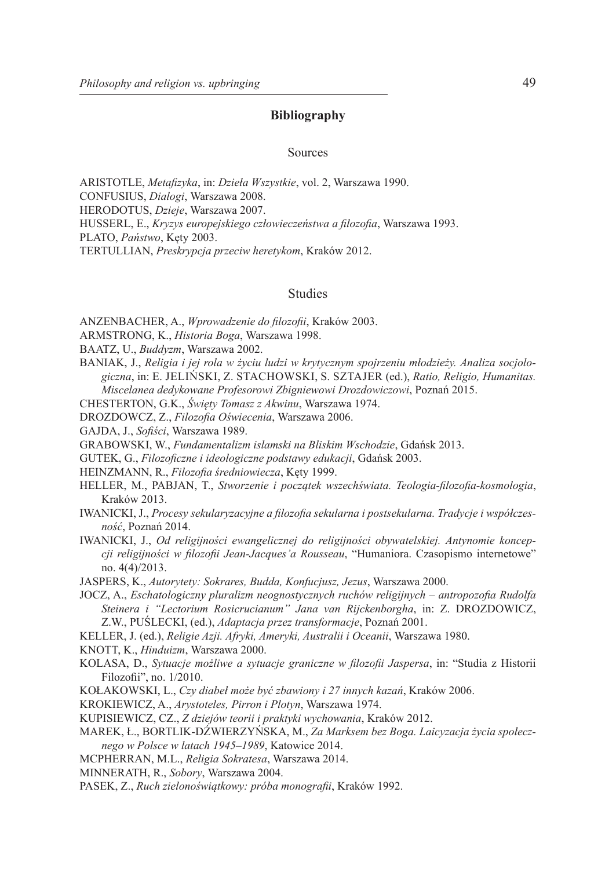### **Bibliography**

#### Sources

ARISTOTLE, *Metafizyka*, in: *Dzieła Wszystkie*, vol. 2, Warszawa 1990. CONFUSIUS, *Dialogi*, Warszawa 2008. HERODOTUS, *Dzieje*, Warszawa 2007. HUSSERL, E., *Kryzys europejskiego człowieczeństwa a filozofia*, Warszawa 1993. PLATO, *Państwo*, Kęty 2003. TERTULLIAN, *Preskrypcja przeciw heretykom*, Kraków 2012.

### Studies

ANZENBACHER, A., *Wprowadzenie do filozofii*, Kraków 2003.

ARMSTRONG, K., *Historia Boga*, Warszawa 1998.

- BAATZ, U., *Buddyzm*, Warszawa 2002.
- BANIAK, J., *Religia i jej rola w życiu ludzi w krytycznym spojrzeniu młodzieży. Analiza socjologiczna*, in: E. JELIŃSKI, Z. STACHOWSKI, S. SZTAJER (ed.), *Ratio, Religio, Humanitas. Miscelanea dedykowane Profesorowi Zbigniewowi Drozdowiczowi*, Poznań 2015.

CHESTERTON, G.K., *Święty Tomasz z Akwinu*, Warszawa 1974.

DROZDOWCZ, Z., *Filozofia Oświecenia*, Warszawa 2006.

GAJDA, J., *Sofiści*, Warszawa 1989.

GRABOWSKI, W., *Fundamentalizm islamski na Bliskim Wschodzie*, Gdańsk 2013.

GUTEK, G., *Filozoficzne i ideologiczne podstawy edukacji*, Gdańsk 2003.

HEINZMANN, R., *Filozofia średniowiecza*, Kęty 1999.

- HELLER, M., PABJAN, T., *Stworzenie i początek wszechświata. Teologia-filozofia-kosmologia*, Kraków 2013.
- IWANICKI, J., *Procesy sekularyzacyjne a filozofia sekularna i postsekularna. Tradycje i współczesność*, Poznań 2014.
- IWANICKI, J., *Od religijności ewangelicznej do religijności obywatelskiej. Antynomie koncepcji religijności w filozofii Jean-Jacques'a Rousseau*, "Humaniora. Czasopismo internetowe" no. 4(4)/2013.

JASPERS, K., *Autorytety: Sokrares, Budda, Konfucjusz, Jezus*, Warszawa 2000.

JOCZ, A., *Eschatologiczny pluralizm neognostycznych ruchów religijnych – antropozofia Rudolfa Steinera i "Lectorium Rosicrucianum" Jana van Rijckenborgha*, in: Z. DROZDOWICZ, Z.W., PUŚLECKI, (ed.), *Adaptacja przez transformacje*, Poznań 2001.

KELLER, J. (ed.), *Religie Azji. Afryki, Ameryki, Australii i Oceanii*, Warszawa 1980.

KNOTT, K., *Hinduizm*, Warszawa 2000.

- KOLASA, D., *Sytuacje możliwe a sytuacje graniczne w filozofii Jaspersa*, in: "Studia z Historii Filozofii", no. 1/2010.
- KOŁAKOWSKI, L., *Czy diabeł może być zbawiony i 27 innych kazań*, Kraków 2006.

KROKIEWICZ, A., *Arystoteles, Pirron i Plotyn*, Warszawa 1974.

KUPISIEWICZ, CZ., *Z dziejów teorii i praktyki wychowania*, Kraków 2012.

- MAREK, Ł., BORTLIK-DŹWIERZYŃSKA, M., *Za Marksem bez Boga. Laicyzacja życia społecznego w Polsce w latach 1945–1989*, Katowice 2014.
- MCPHERRAN, M.L., *Religia Sokratesa*, Warszawa 2014.

MINNERATH, R., *Sobory*, Warszawa 2004.

PASEK, Z., *Ruch zielonoświątkowy: próba monografii*, Kraków 1992.